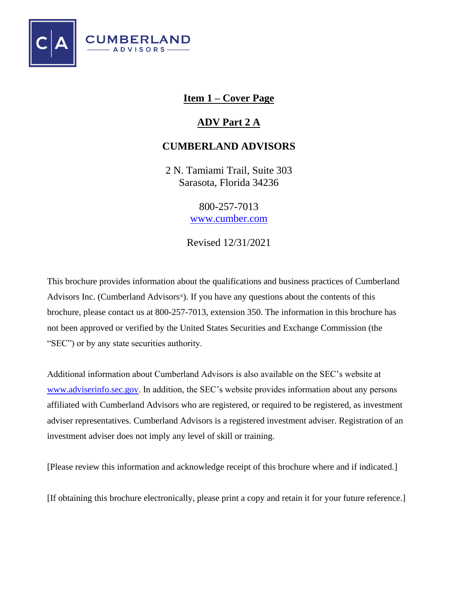

# **Item 1 – Cover Page**

# **ADV Part 2 A**

# **CUMBERLAND ADVISORS**

2 N. Tamiami Trail, Suite 303 Sarasota, Florida 34236

> 800-257-7013 [www.cumber.com](http://www.cumber.com/)

Revised 12/31/2021

This brochure provides information about the qualifications and business practices of Cumberland Advisors Inc. (Cumberland Advisors®). If you have any questions about the contents of this brochure, please contact us at 800-257-7013, extension 350. The information in this brochure has not been approved or verified by the United States Securities and Exchange Commission (the "SEC") or by any state securities authority.

Additional information about Cumberland Advisors is also available on the SEC's website at [www.adviserinfo.sec.gov.](http://www.adviserinfo.sec.gov/) In addition, the SEC's website provides information about any persons affiliated with Cumberland Advisors who are registered, or required to be registered, as investment adviser representatives. Cumberland Advisors is a registered investment adviser. Registration of an investment adviser does not imply any level of skill or training.

[Please review this information and acknowledge receipt of this brochure where and if indicated.]

[If obtaining this brochure electronically, please print a copy and retain it for your future reference.]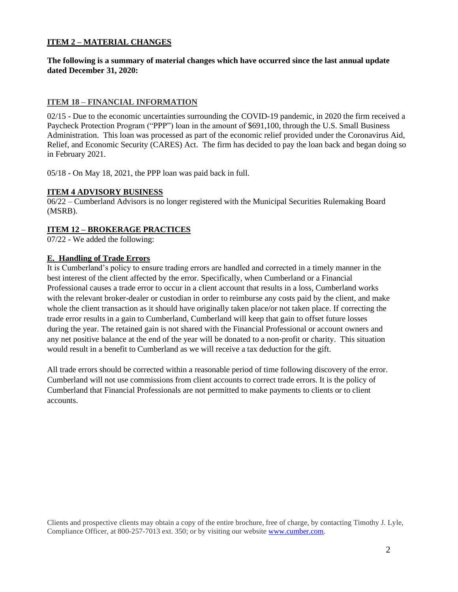### **ITEM 2 – MATERIAL CHANGES**

**The following is a summary of material changes which have occurred since the last annual update dated December 31, 2020:**

### **ITEM 18 – FINANCIAL INFORMATION**

02/15 - Due to the economic uncertainties surrounding the COVID-19 pandemic, in 2020 the firm received a Paycheck Protection Program ("PPP") loan in the amount of \$691,100, through the U.S. Small Business Administration. This loan was processed as part of the economic relief provided under the Coronavirus Aid, Relief, and Economic Security (CARES) Act. The firm has decided to pay the loan back and began doing so in February 2021.

05/18 - On May 18, 2021, the PPP loan was paid back in full.

### **ITEM 4 ADVISORY BUSINESS**

06/22 – Cumberland Advisors is no longer registered with the Municipal Securities Rulemaking Board (MSRB).

### **ITEM 12 – BROKERAGE PRACTICES**

07/22 - We added the following:

### **E. Handling of Trade Errors**

It is Cumberland's policy to ensure trading errors are handled and corrected in a timely manner in the best interest of the client affected by the error. Specifically, when Cumberland or a Financial Professional causes a trade error to occur in a client account that results in a loss, Cumberland works with the relevant broker-dealer or custodian in order to reimburse any costs paid by the client, and make whole the client transaction as it should have originally taken place/or not taken place. If correcting the trade error results in a gain to Cumberland, Cumberland will keep that gain to offset future losses during the year. The retained gain is not shared with the Financial Professional or account owners and any net positive balance at the end of the year will be donated to a non-profit or charity. This situation would result in a benefit to Cumberland as we will receive a tax deduction for the gift.

All trade errors should be corrected within a reasonable period of time following discovery of the error. Cumberland will not use commissions from client accounts to correct trade errors. It is the policy of Cumberland that Financial Professionals are not permitted to make payments to clients or to client accounts.

Clients and prospective clients may obtain a copy of the entire brochure, free of charge, by contacting Timothy J. Lyle, Compliance Officer, at 800-257-7013 ext. 350; or by visiting our website [www.cumber.com.](http://www.cumber.com/)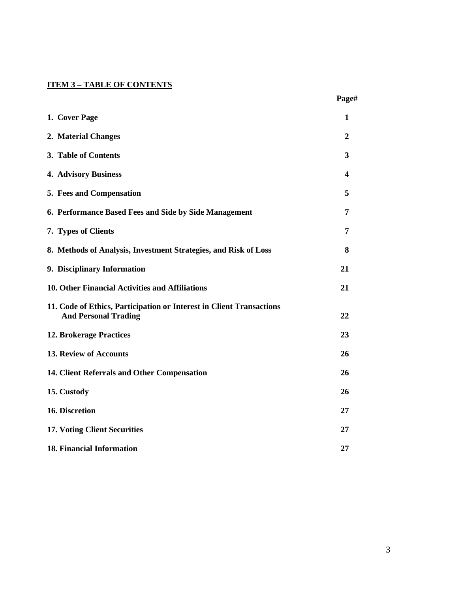# **ITEM 3 – TABLE OF CONTENTS**

| 1. Cover Page                                                                                       | 1                |
|-----------------------------------------------------------------------------------------------------|------------------|
| 2. Material Changes                                                                                 | $\boldsymbol{2}$ |
| 3. Table of Contents                                                                                | 3                |
| 4. Advisory Business                                                                                | 4                |
| 5. Fees and Compensation                                                                            | 5                |
| 6. Performance Based Fees and Side by Side Management                                               | 7                |
| 7. Types of Clients                                                                                 | 7                |
| 8. Methods of Analysis, Investment Strategies, and Risk of Loss                                     | 8                |
| 9. Disciplinary Information                                                                         | 21               |
| 10. Other Financial Activities and Affiliations                                                     | 21               |
| 11. Code of Ethics, Participation or Interest in Client Transactions<br><b>And Personal Trading</b> | 22               |
| <b>12. Brokerage Practices</b>                                                                      | 23               |
| <b>13. Review of Accounts</b>                                                                       | 26               |
| 14. Client Referrals and Other Compensation                                                         | 26               |
| 15. Custody                                                                                         | 26               |
| 16. Discretion                                                                                      | 27               |
| 17. Voting Client Securities                                                                        | 27               |
| <b>18. Financial Information</b>                                                                    | 27               |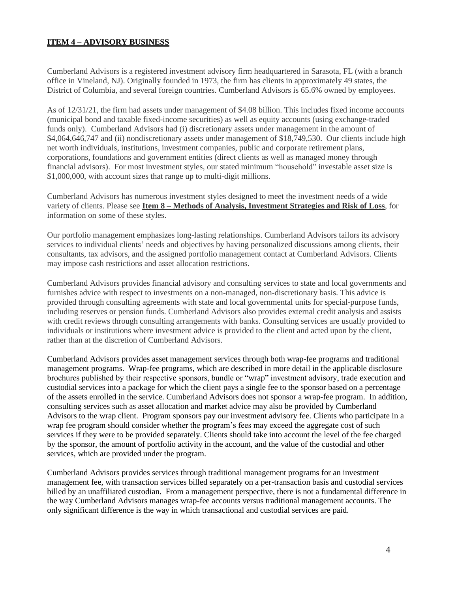### **ITEM 4 – ADVISORY BUSINESS**

Cumberland Advisors is a registered investment advisory firm headquartered in Sarasota, FL (with a branch office in Vineland, NJ). Originally founded in 1973, the firm has clients in approximately 49 states, the District of Columbia, and several foreign countries. Cumberland Advisors is 65.6% owned by employees.

As of 12/31/21, the firm had assets under management of \$4.08 billion. This includes fixed income accounts (municipal bond and taxable fixed-income securities) as well as equity accounts (using exchange-traded funds only). Cumberland Advisors had (i) discretionary assets under management in the amount of \$4,064,646,747 and (ii) nondiscretionary assets under management of \$18,749,530. Our clients include high net worth individuals, institutions, investment companies, public and corporate retirement plans, corporations, foundations and government entities (direct clients as well as managed money through financial advisors). For most investment styles, our stated minimum "household" investable asset size is \$1,000,000, with account sizes that range up to multi-digit millions.

Cumberland Advisors has numerous investment styles designed to meet the investment needs of a wide variety of clients. Please see **Item 8 – Methods of Analysis, Investment Strategies and Risk of Loss**, for information on some of these styles.

Our portfolio management emphasizes long-lasting relationships. Cumberland Advisors tailors its advisory services to individual clients' needs and objectives by having personalized discussions among clients, their consultants, tax advisors, and the assigned portfolio management contact at Cumberland Advisors. Clients may impose cash restrictions and asset allocation restrictions.

Cumberland Advisors provides financial advisory and consulting services to state and local governments and furnishes advice with respect to investments on a non-managed, non-discretionary basis. This advice is provided through consulting agreements with state and local governmental units for special-purpose funds, including reserves or pension funds. Cumberland Advisors also provides external credit analysis and assists with credit reviews through consulting arrangements with banks. Consulting services are usually provided to individuals or institutions where investment advice is provided to the client and acted upon by the client, rather than at the discretion of Cumberland Advisors.

Cumberland Advisors provides asset management services through both wrap-fee programs and traditional management programs. Wrap-fee programs, which are described in more detail in the applicable disclosure brochures published by their respective sponsors, bundle or "wrap" investment advisory, trade execution and custodial services into a package for which the client pays a single fee to the sponsor based on a percentage of the assets enrolled in the service. Cumberland Advisors does not sponsor a wrap-fee program. In addition, consulting services such as asset allocation and market advice may also be provided by Cumberland Advisors to the wrap client. Program sponsors pay our investment advisory fee. Clients who participate in a wrap fee program should consider whether the program's fees may exceed the aggregate cost of such services if they were to be provided separately. Clients should take into account the level of the fee charged by the sponsor, the amount of portfolio activity in the account, and the value of the custodial and other services, which are provided under the program.

Cumberland Advisors provides services through traditional management programs for an investment management fee, with transaction services billed separately on a per-transaction basis and custodial services billed by an unaffiliated custodian. From a management perspective, there is not a fundamental difference in the way Cumberland Advisors manages wrap-fee accounts versus traditional management accounts. The only significant difference is the way in which transactional and custodial services are paid.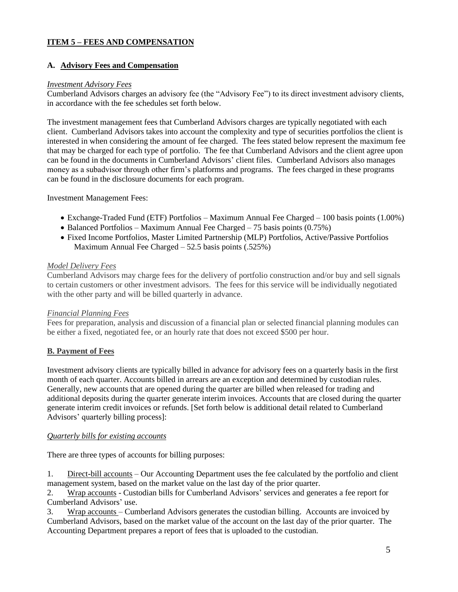# **ITEM 5 – FEES AND COMPENSATION**

# **A. Advisory Fees and Compensation**

### *Investment Advisory Fees*

Cumberland Advisors charges an advisory fee (the "Advisory Fee") to its direct investment advisory clients, in accordance with the fee schedules set forth below.

The investment management fees that Cumberland Advisors charges are typically negotiated with each client. Cumberland Advisors takes into account the complexity and type of securities portfolios the client is interested in when considering the amount of fee charged. The fees stated below represent the maximum fee that may be charged for each type of portfolio. The fee that Cumberland Advisors and the client agree upon can be found in the documents in Cumberland Advisors' client files. Cumberland Advisors also manages money as a subadvisor through other firm's platforms and programs. The fees charged in these programs can be found in the disclosure documents for each program.

Investment Management Fees:

- Exchange-Traded Fund (ETF) Portfolios Maximum Annual Fee Charged 100 basis points (1.00%)
- Balanced Portfolios Maximum Annual Fee Charged 75 basis points (0.75%)
- Fixed Income Portfolios, Master Limited Partnership (MLP) Portfolios, Active/Passive Portfolios Maximum Annual Fee Charged – 52.5 basis points (.525%)

#### *Model Delivery Fees*

Cumberland Advisors may charge fees for the delivery of portfolio construction and/or buy and sell signals to certain customers or other investment advisors. The fees for this service will be individually negotiated with the other party and will be billed quarterly in advance.

### *Financial Planning Fees*

Fees for preparation, analysis and discussion of a financial plan or selected financial planning modules can be either a fixed, negotiated fee, or an hourly rate that does not exceed \$500 per hour.

### **B. Payment of Fees**

Investment advisory clients are typically billed in advance for advisory fees on a quarterly basis in the first month of each quarter. Accounts billed in arrears are an exception and determined by custodian rules. Generally, new accounts that are opened during the quarter are billed when released for trading and additional deposits during the quarter generate interim invoices. Accounts that are closed during the quarter generate interim credit invoices or refunds. [Set forth below is additional detail related to Cumberland Advisors' quarterly billing process]:

### *Quarterly bills for existing accounts*

There are three types of accounts for billing purposes:

1. Direct-bill accounts – Our Accounting Department uses the fee calculated by the portfolio and client management system, based on the market value on the last day of the prior quarter.

2. Wrap accounts - Custodian bills for Cumberland Advisors' services and generates a fee report for Cumberland Advisors' use.

3. Wrap accounts – Cumberland Advisors generates the custodian billing. Accounts are invoiced by Cumberland Advisors, based on the market value of the account on the last day of the prior quarter. The Accounting Department prepares a report of fees that is uploaded to the custodian.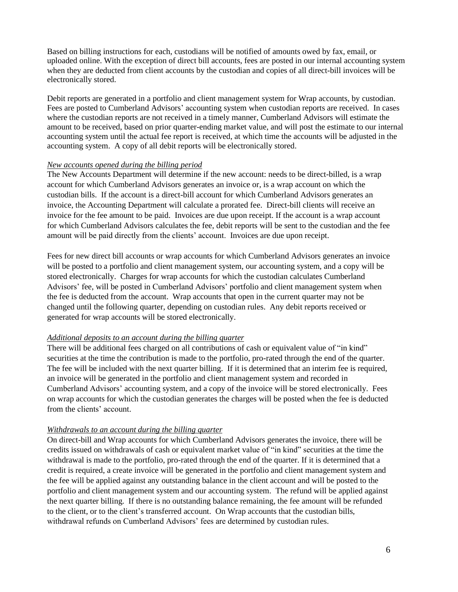Based on billing instructions for each, custodians will be notified of amounts owed by fax, email, or uploaded online. With the exception of direct bill accounts, fees are posted in our internal accounting system when they are deducted from client accounts by the custodian and copies of all direct-bill invoices will be electronically stored.

Debit reports are generated in a portfolio and client management system for Wrap accounts, by custodian. Fees are posted to Cumberland Advisors' accounting system when custodian reports are received. In cases where the custodian reports are not received in a timely manner, Cumberland Advisors will estimate the amount to be received, based on prior quarter-ending market value, and will post the estimate to our internal accounting system until the actual fee report is received, at which time the accounts will be adjusted in the accounting system. A copy of all debit reports will be electronically stored.

#### *New accounts opened during the billing period*

The New Accounts Department will determine if the new account: needs to be direct-billed, is a wrap account for which Cumberland Advisors generates an invoice or, is a wrap account on which the custodian bills. If the account is a direct-bill account for which Cumberland Advisors generates an invoice, the Accounting Department will calculate a prorated fee. Direct-bill clients will receive an invoice for the fee amount to be paid. Invoices are due upon receipt. If the account is a wrap account for which Cumberland Advisors calculates the fee, debit reports will be sent to the custodian and the fee amount will be paid directly from the clients' account. Invoices are due upon receipt.

Fees for new direct bill accounts or wrap accounts for which Cumberland Advisors generates an invoice will be posted to a portfolio and client management system, our accounting system, and a copy will be stored electronically. Charges for wrap accounts for which the custodian calculates Cumberland Advisors' fee, will be posted in Cumberland Advisors' portfolio and client management system when the fee is deducted from the account. Wrap accounts that open in the current quarter may not be changed until the following quarter, depending on custodian rules. Any debit reports received or generated for wrap accounts will be stored electronically.

#### *Additional deposits to an account during the billing quarter*

There will be additional fees charged on all contributions of cash or equivalent value of "in kind" securities at the time the contribution is made to the portfolio, pro-rated through the end of the quarter. The fee will be included with the next quarter billing. If it is determined that an interim fee is required, an invoice will be generated in the portfolio and client management system and recorded in Cumberland Advisors' accounting system, and a copy of the invoice will be stored electronically. Fees on wrap accounts for which the custodian generates the charges will be posted when the fee is deducted from the clients' account.

### *Withdrawals to an account during the billing quarter*

On direct-bill and Wrap accounts for which Cumberland Advisors generates the invoice, there will be credits issued on withdrawals of cash or equivalent market value of "in kind" securities at the time the withdrawal is made to the portfolio, pro-rated through the end of the quarter. If it is determined that a credit is required, a create invoice will be generated in the portfolio and client management system and the fee will be applied against any outstanding balance in the client account and will be posted to the portfolio and client management system and our accounting system. The refund will be applied against the next quarter billing. If there is no outstanding balance remaining, the fee amount will be refunded to the client, or to the client's transferred account. On Wrap accounts that the custodian bills, withdrawal refunds on Cumberland Advisors' fees are determined by custodian rules.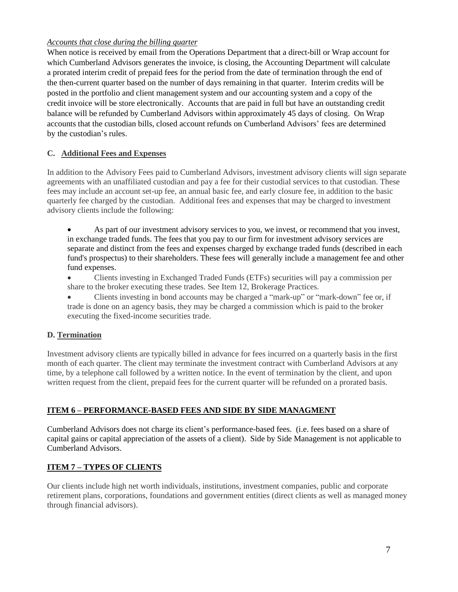### *Accounts that close during the billing quarter*

When notice is received by email from the Operations Department that a direct-bill or Wrap account for which Cumberland Advisors generates the invoice, is closing, the Accounting Department will calculate a prorated interim credit of prepaid fees for the period from the date of termination through the end of the then-current quarter based on the number of days remaining in that quarter. Interim credits will be posted in the portfolio and client management system and our accounting system and a copy of the credit invoice will be store electronically. Accounts that are paid in full but have an outstanding credit balance will be refunded by Cumberland Advisors within approximately 45 days of closing. On Wrap accounts that the custodian bills, closed account refunds on Cumberland Advisors' fees are determined by the custodian's rules.

# **C. Additional Fees and Expenses**

In addition to the Advisory Fees paid to Cumberland Advisors, investment advisory clients will sign separate agreements with an unaffiliated custodian and pay a fee for their custodial services to that custodian. These fees may include an account set-up fee, an annual basic fee, and early closure fee, in addition to the basic quarterly fee charged by the custodian. Additional fees and expenses that may be charged to investment advisory clients include the following:

• As part of our investment advisory services to you, we invest, or recommend that you invest, in exchange traded funds. The fees that you pay to our firm for investment advisory services are separate and distinct from the fees and expenses charged by exchange traded funds (described in each fund's prospectus) to their shareholders. These fees will generally include a management fee and other fund expenses.

- Clients investing in Exchanged Traded Funds (ETFs) securities will pay a commission per share to the broker executing these trades. See Item 12, Brokerage Practices.
- Clients investing in bond accounts may be charged a "mark-up" or "mark-down" fee or, if trade is done on an agency basis, they may be charged a commission which is paid to the broker executing the fixed-income securities trade.

# **D. Termination**

Investment advisory clients are typically billed in advance for fees incurred on a quarterly basis in the first month of each quarter. The client may terminate the investment contract with Cumberland Advisors at any time, by a telephone call followed by a written notice. In the event of termination by the client, and upon written request from the client, prepaid fees for the current quarter will be refunded on a prorated basis.

# **ITEM 6 – PERFORMANCE-BASED FEES AND SIDE BY SIDE MANAGMENT**

Cumberland Advisors does not charge its client's performance-based fees. (i.e. fees based on a share of capital gains or capital appreciation of the assets of a client). Side by Side Management is not applicable to Cumberland Advisors.

# **ITEM 7 – TYPES OF CLIENTS**

Our clients include high net worth individuals, institutions, investment companies, public and corporate retirement plans, corporations, foundations and government entities (direct clients as well as managed money through financial advisors).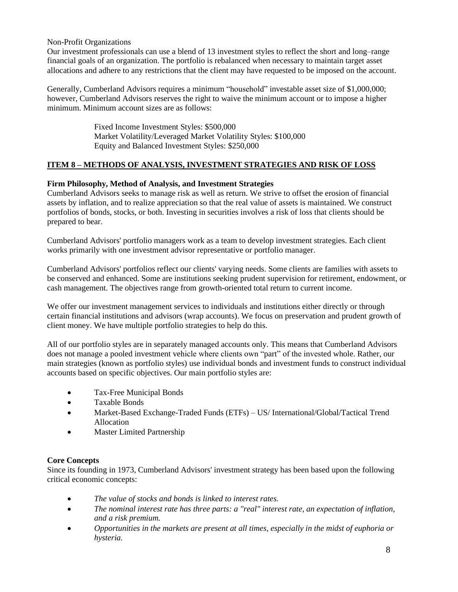### Non-Profit Organizations

Our investment professionals can use a blend of 13 investment styles to reflect the short and long–range financial goals of an organization. The portfolio is rebalanced when necessary to maintain target asset allocations and adhere to any restrictions that the client may have requested to be imposed on the account.

Generally, Cumberland Advisors requires a minimum "household" investable asset size of \$1,000,000; however, Cumberland Advisors reserves the right to waive the minimum account or to impose a higher minimum. Minimum account sizes are as follows:

> Fixed Income Investment Styles: \$500,000 Market Volatility/Leveraged Market Volatility Styles: \$100,000 Equity and Balanced Investment Styles: \$250,000

# **ITEM 8 – METHODS OF ANALYSIS, INVESTMENT STRATEGIES AND RISK OF LOSS**

# **Firm Philosophy, Method of Analysis, and Investment Strategies**

Cumberland Advisors seeks to manage risk as well as return. We strive to offset the erosion of financial assets by inflation, and to realize appreciation so that the real value of assets is maintained. We construct portfolios of bonds, stocks, or both. Investing in securities involves a risk of loss that clients should be prepared to bear.

Cumberland Advisors' portfolio managers work as a team to develop investment strategies. Each client works primarily with one investment advisor representative or portfolio manager.

Cumberland Advisors' portfolios reflect our clients' varying needs. Some clients are families with assets to be conserved and enhanced. Some are institutions seeking prudent supervision for retirement, endowment, or cash management. The objectives range from growth-oriented total return to current income.

We offer our investment management services to individuals and institutions either directly or through certain financial institutions and advisors (wrap accounts). We focus on preservation and prudent growth of client money. We have multiple portfolio strategies to help do this.

All of our portfolio styles are in separately managed accounts only. This means that Cumberland Advisors does not manage a pooled investment vehicle where clients own "part" of the invested whole. Rather, our main strategies (known as portfolio styles) use individual bonds and investment funds to construct individual accounts based on specific objectives. Our main portfolio styles are:

- Tax-Free Municipal Bonds
- Taxable Bonds
- Market-Based Exchange-Traded Funds (ETFs) US/ International/Global/Tactical Trend Allocation
- Master Limited Partnership

# **Core Concepts**

Since its founding in 1973, Cumberland Advisors' investment strategy has been based upon the following critical economic concepts:

- *The value of stocks and bonds is linked to interest rates.*
- *The nominal interest rate has three parts: a "real" interest rate, an expectation of inflation, and a risk premium.*
- *Opportunities in the markets are present at all times, especially in the midst of euphoria or hysteria.*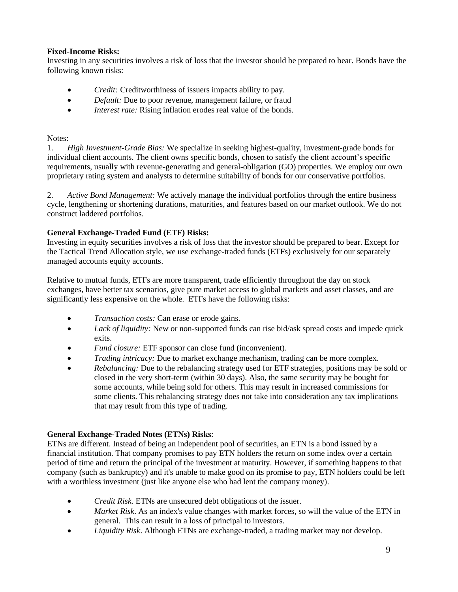# **Fixed-Income Risks:**

Investing in any securities involves a risk of loss that the investor should be prepared to bear. Bonds have the following known risks:

- *Credit:* Creditworthiness of issuers impacts ability to pay.
- *Default:* Due to poor revenue, management failure, or fraud
- *Interest rate:* Rising inflation erodes real value of the bonds.

### Notes:

1. *High Investment-Grade Bias:* We specialize in seeking highest-quality, investment-grade bonds for individual client accounts. The client owns specific bonds, chosen to satisfy the client account's specific requirements, usually with revenue-generating and general-obligation (GO) properties. We employ our own proprietary rating system and analysts to determine suitability of bonds for our conservative portfolios.

2. *Active Bond Management:* We actively manage the individual portfolios through the entire business cycle, lengthening or shortening durations, maturities, and features based on our market outlook. We do not construct laddered portfolios.

### **General Exchange-Traded Fund (ETF) Risks:**

Investing in equity securities involves a risk of loss that the investor should be prepared to bear. Except for the Tactical Trend Allocation style, we use exchange-traded funds (ETFs) exclusively for our separately managed accounts equity accounts.

Relative to mutual funds, ETFs are more transparent, trade efficiently throughout the day on stock exchanges, have better tax scenarios, give pure market access to global markets and asset classes, and are significantly less expensive on the whole. ETFs have the following risks:

- *Transaction costs:* Can erase or erode gains.
- *Lack of liquidity:* New or non-supported funds can rise bid/ask spread costs and impede quick exits.
- *Fund closure:* ETF sponsor can close fund (inconvenient).
- *Trading intricacy:* Due to market exchange mechanism, trading can be more complex.
- *Rebalancing:* Due to the rebalancing strategy used for ETF strategies, positions may be sold or closed in the very short-term (within 30 days). Also, the same security may be bought for some accounts, while being sold for others. This may result in increased commissions for some clients. This rebalancing strategy does not take into consideration any tax implications that may result from this type of trading.

# **General Exchange-Traded Notes (ETNs) Risks**:

ETNs are different. Instead of being an independent pool of securities, an ETN is a bond issued by a financial institution. That company promises to pay ETN holders the return on some index over a certain period of time and return the principal of the investment at maturity. However, if something happens to that company (such as bankruptcy) and it's unable to make good on its promise to pay, ETN holders could be left with a worthless investment (just like anyone else who had lent the company money).

- *Credit Risk*. ETNs are unsecured debt obligations of the issuer.
- *Market Risk.* As an index's value changes with market forces, so will the value of the ETN in general. This can result in a loss of principal to investors.
- *Liquidity Risk*. Although ETNs are exchange-traded, a trading market may not develop.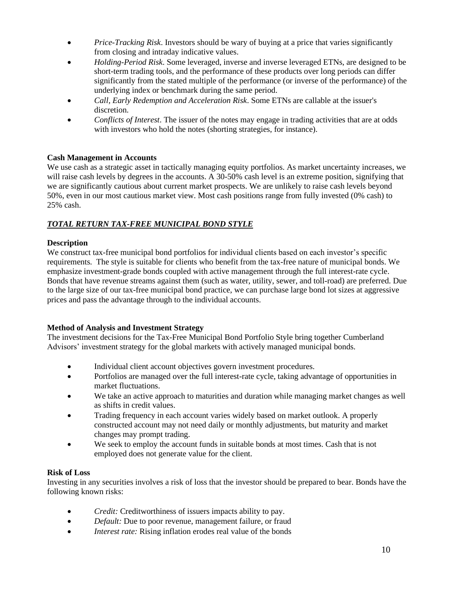- *Price-Tracking Risk*. Investors should be wary of buying at a price that varies significantly from closing and intraday indicative values.
- *Holding-Period Risk*. Some leveraged, inverse and inverse leveraged ETNs, are designed to be short-term trading tools, and the performance of these products over long periods can differ significantly from the stated multiple of the performance (or inverse of the performance) of the underlying index or benchmark during the same period.
- *Call, Early Redemption and Acceleration Risk*. Some ETNs are callable at the issuer's discretion.
- *Conflicts of Interest*. The issuer of the notes may engage in trading activities that are at odds with investors who hold the notes (shorting strategies, for instance).

# **Cash Management in Accounts**

We use cash as a strategic asset in tactically managing equity portfolios. As market uncertainty increases, we will raise cash levels by degrees in the accounts. A 30-50% cash level is an extreme position, signifying that we are significantly cautious about current market prospects. We are unlikely to raise cash levels beyond 50%, even in our most cautious market view. Most cash positions range from fully invested (0% cash) to 25% cash.

# *TOTAL RETURN TAX-FREE MUNICIPAL BOND STYLE*

# **Description**

We construct tax-free municipal bond portfolios for individual clients based on each investor's specific requirements. The style is suitable for clients who benefit from the tax-free nature of municipal bonds. We emphasize investment-grade bonds coupled with active management through the full interest-rate cycle. Bonds that have revenue streams against them (such as water, utility, sewer, and toll-road) are preferred. Due to the large size of our tax-free municipal bond practice, we can purchase large bond lot sizes at aggressive prices and pass the advantage through to the individual accounts.

# **Method of Analysis and Investment Strategy**

The investment decisions for the Tax-Free Municipal Bond Portfolio Style bring together Cumberland Advisors' investment strategy for the global markets with actively managed municipal bonds.

- Individual client account objectives govern investment procedures.
- Portfolios are managed over the full interest-rate cycle, taking advantage of opportunities in market fluctuations.
- We take an active approach to maturities and duration while managing market changes as well as shifts in credit values.
- Trading frequency in each account varies widely based on market outlook. A properly constructed account may not need daily or monthly adjustments, but maturity and market changes may prompt trading.
- We seek to employ the account funds in suitable bonds at most times. Cash that is not employed does not generate value for the client.

# **Risk of Loss**

Investing in any securities involves a risk of loss that the investor should be prepared to bear. Bonds have the following known risks:

- *Credit:* Creditworthiness of issuers impacts ability to pay.
- *Default:* Due to poor revenue, management failure, or fraud
- *Interest rate:* Rising inflation erodes real value of the bonds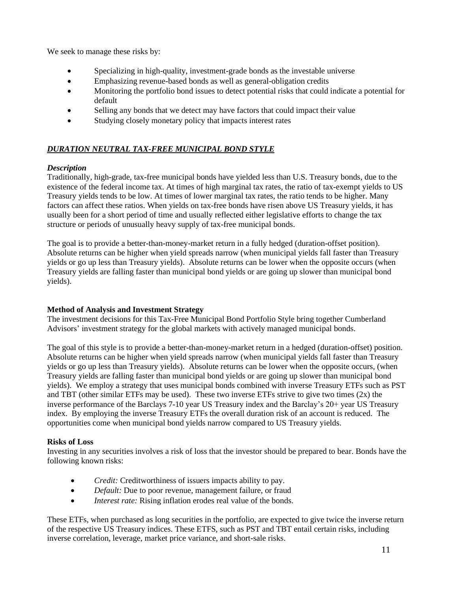We seek to manage these risks by:

- Specializing in high-quality, investment-grade bonds as the investable universe
- Emphasizing revenue-based bonds as well as general-obligation credits
- Monitoring the portfolio bond issues to detect potential risks that could indicate a potential for default
- Selling any bonds that we detect may have factors that could impact their value
- Studying closely monetary policy that impacts interest rates

# *DURATION NEUTRAL TAX-FREE MUNICIPAL BOND STYLE*

# *Description*

Traditionally, high-grade, tax-free municipal bonds have yielded less than U.S. Treasury bonds, due to the existence of the federal income tax. At times of high marginal tax rates, the ratio of tax-exempt yields to US Treasury yields tends to be low. At times of lower marginal tax rates, the ratio tends to be higher. Many factors can affect these ratios. When yields on tax-free bonds have risen above US Treasury yields, it has usually been for a short period of time and usually reflected either legislative efforts to change the tax structure or periods of unusually heavy supply of tax-free municipal bonds.

The goal is to provide a better-than-money-market return in a fully hedged (duration-offset position). Absolute returns can be higher when yield spreads narrow (when municipal yields fall faster than Treasury yields or go up less than Treasury yields). Absolute returns can be lower when the opposite occurs (when Treasury yields are falling faster than municipal bond yields or are going up slower than municipal bond yields).

# **Method of Analysis and Investment Strategy**

The investment decisions for this Tax-Free Municipal Bond Portfolio Style bring together Cumberland Advisors' investment strategy for the global markets with actively managed municipal bonds.

The goal of this style is to provide a better-than-money-market return in a hedged (duration-offset) position. Absolute returns can be higher when yield spreads narrow (when municipal yields fall faster than Treasury yields or go up less than Treasury yields). Absolute returns can be lower when the opposite occurs, (when Treasury yields are falling faster than municipal bond yields or are going up slower than municipal bond yields). We employ a strategy that uses municipal bonds combined with inverse Treasury ETFs such as PST and TBT (other similar ETFs may be used). These two inverse ETFs strive to give two times (2x) the inverse performance of the Barclays 7-10 year US Treasury index and the Barclay's 20+ year US Treasury index. By employing the inverse Treasury ETFs the overall duration risk of an account is reduced. The opportunities come when municipal bond yields narrow compared to US Treasury yields.

# **Risks of Loss**

Investing in any securities involves a risk of loss that the investor should be prepared to bear. Bonds have the following known risks:

- *Credit:* Creditworthiness of issuers impacts ability to pay.
- *Default:* Due to poor revenue, management failure, or fraud
- *Interest rate:* Rising inflation erodes real value of the bonds.

These ETFs, when purchased as long securities in the portfolio, are expected to give twice the inverse return of the respective US Treasury indices. These ETFS, such as PST and TBT entail certain risks, including inverse correlation, leverage, market price variance, and short-sale risks.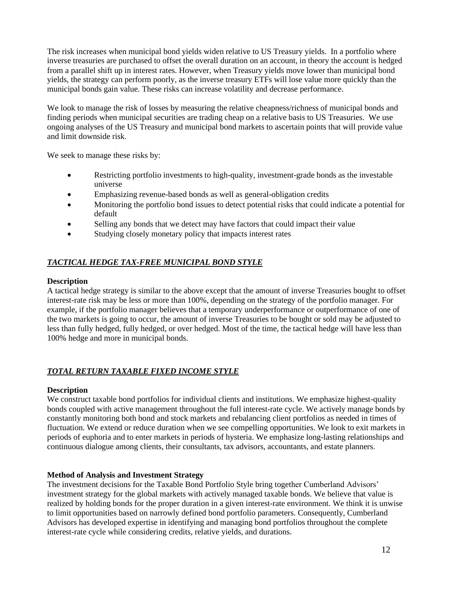The risk increases when municipal bond yields widen relative to US Treasury yields. In a portfolio where inverse treasuries are purchased to offset the overall duration on an account, in theory the account is hedged from a parallel shift up in interest rates. However, when Treasury yields move lower than municipal bond yields, the strategy can perform poorly, as the inverse treasury ETFs will lose value more quickly than the municipal bonds gain value. These risks can increase volatility and decrease performance.

We look to manage the risk of losses by measuring the relative cheapness/richness of municipal bonds and finding periods when municipal securities are trading cheap on a relative basis to US Treasuries. We use ongoing analyses of the US Treasury and municipal bond markets to ascertain points that will provide value and limit downside risk.

We seek to manage these risks by:

- Restricting portfolio investments to high-quality, investment-grade bonds as the investable universe
- Emphasizing revenue-based bonds as well as general-obligation credits
- Monitoring the portfolio bond issues to detect potential risks that could indicate a potential for default
- Selling any bonds that we detect may have factors that could impact their value
- Studying closely monetary policy that impacts interest rates

# *TACTICAL HEDGE TAX-FREE MUNICIPAL BOND STYLE*

### **Description**

A tactical hedge strategy is similar to the above except that the amount of inverse Treasuries bought to offset interest-rate risk may be less or more than 100%, depending on the strategy of the portfolio manager. For example, if the portfolio manager believes that a temporary underperformance or outperformance of one of the two markets is going to occur, the amount of inverse Treasuries to be bought or sold may be adjusted to less than fully hedged, fully hedged, or over hedged. Most of the time, the tactical hedge will have less than 100% hedge and more in municipal bonds.

# *TOTAL RETURN TAXABLE FIXED INCOME STYLE*

# **Description**

We construct taxable bond portfolios for individual clients and institutions. We emphasize highest-quality bonds coupled with active management throughout the full interest-rate cycle. We actively manage bonds by constantly monitoring both bond and stock markets and rebalancing client portfolios as needed in times of fluctuation. We extend or reduce duration when we see compelling opportunities. We look to exit markets in periods of euphoria and to enter markets in periods of hysteria. We emphasize long-lasting relationships and continuous dialogue among clients, their consultants, tax advisors, accountants, and estate planners.

# **Method of Analysis and Investment Strategy**

The investment decisions for the Taxable Bond Portfolio Style bring together Cumberland Advisors' investment strategy for the global markets with actively managed taxable bonds. We believe that value is realized by holding bonds for the proper duration in a given interest-rate environment. We think it is unwise to limit opportunities based on narrowly defined bond portfolio parameters. Consequently, Cumberland Advisors has developed expertise in identifying and managing bond portfolios throughout the complete interest-rate cycle while considering credits, relative yields, and durations.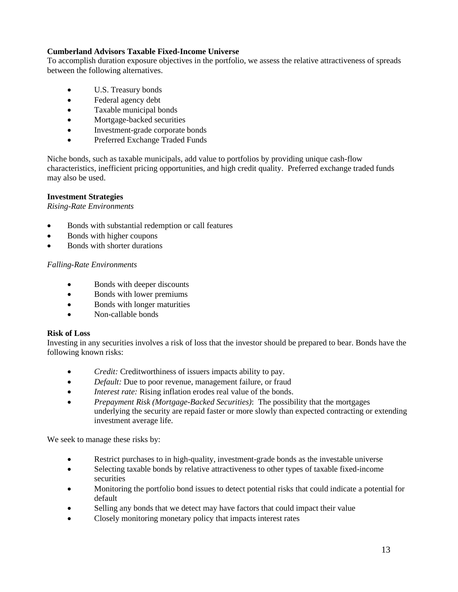# **Cumberland Advisors Taxable Fixed-Income Universe**

To accomplish duration exposure objectives in the portfolio, we assess the relative attractiveness of spreads between the following alternatives.

- U.S. Treasury bonds
- Federal agency debt
- Taxable municipal bonds
- Mortgage-backed securities
- Investment-grade corporate bonds
- Preferred Exchange Traded Funds

Niche bonds, such as taxable municipals, add value to portfolios by providing unique cash-flow characteristics, inefficient pricing opportunities, and high credit quality. Preferred exchange traded funds may also be used.

### **Investment Strategies**

*Rising-Rate Environments*

- Bonds with substantial redemption or call features
- Bonds with higher coupons
- Bonds with shorter durations

### *Falling-Rate Environments*

- Bonds with deeper discounts
- Bonds with lower premiums
- Bonds with longer maturities
- Non-callable bonds

### **Risk of Loss**

Investing in any securities involves a risk of loss that the investor should be prepared to bear. Bonds have the following known risks:

- *Credit:* Creditworthiness of issuers impacts ability to pay.
- *Default:* Due to poor revenue, management failure, or fraud
- *Interest rate:* Rising inflation erodes real value of the bonds.
- *Prepayment Risk (Mortgage-Backed Securities)*: The possibility that the mortgages underlying the security are repaid faster or more slowly than expected contracting or extending investment average life.

We seek to manage these risks by:

- Restrict purchases to in high-quality, investment-grade bonds as the investable universe
- Selecting taxable bonds by relative attractiveness to other types of taxable fixed-income securities
- Monitoring the portfolio bond issues to detect potential risks that could indicate a potential for default
- Selling any bonds that we detect may have factors that could impact their value
- Closely monitoring monetary policy that impacts interest rates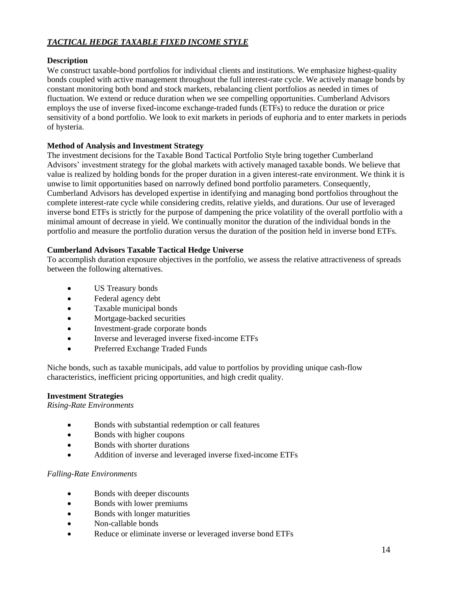# *TACTICAL HEDGE TAXABLE FIXED INCOME STYLE*

# **Description**

We construct taxable-bond portfolios for individual clients and institutions. We emphasize highest-quality bonds coupled with active management throughout the full interest-rate cycle. We actively manage bonds by constant monitoring both bond and stock markets, rebalancing client portfolios as needed in times of fluctuation. We extend or reduce duration when we see compelling opportunities. Cumberland Advisors employs the use of inverse fixed-income exchange-traded funds (ETFs) to reduce the duration or price sensitivity of a bond portfolio. We look to exit markets in periods of euphoria and to enter markets in periods of hysteria.

# **Method of Analysis and Investment Strategy**

The investment decisions for the Taxable Bond Tactical Portfolio Style bring together Cumberland Advisors' investment strategy for the global markets with actively managed taxable bonds. We believe that value is realized by holding bonds for the proper duration in a given interest-rate environment. We think it is unwise to limit opportunities based on narrowly defined bond portfolio parameters. Consequently, Cumberland Advisors has developed expertise in identifying and managing bond portfolios throughout the complete interest-rate cycle while considering credits, relative yields, and durations. Our use of leveraged inverse bond ETFs is strictly for the purpose of dampening the price volatility of the overall portfolio with a minimal amount of decrease in yield. We continually monitor the duration of the individual bonds in the portfolio and measure the portfolio duration versus the duration of the position held in inverse bond ETFs.

### **Cumberland Advisors Taxable Tactical Hedge Universe**

To accomplish duration exposure objectives in the portfolio, we assess the relative attractiveness of spreads between the following alternatives.

- US Treasury bonds
- Federal agency debt
- Taxable municipal bonds
- Mortgage-backed securities
- Investment-grade corporate bonds
- Inverse and leveraged inverse fixed-income ETFs
- Preferred Exchange Traded Funds

Niche bonds, such as taxable municipals, add value to portfolios by providing unique cash-flow characteristics, inefficient pricing opportunities, and high credit quality.

### **Investment Strategies**

### *Rising-Rate Environments*

- Bonds with substantial redemption or call features
- Bonds with higher coupons
- Bonds with shorter durations
- Addition of inverse and leveraged inverse fixed-income ETFs

### *Falling-Rate Environments*

- Bonds with deeper discounts
- Bonds with lower premiums
- Bonds with longer maturities
- Non-callable bonds
- Reduce or eliminate inverse or leveraged inverse bond ETFs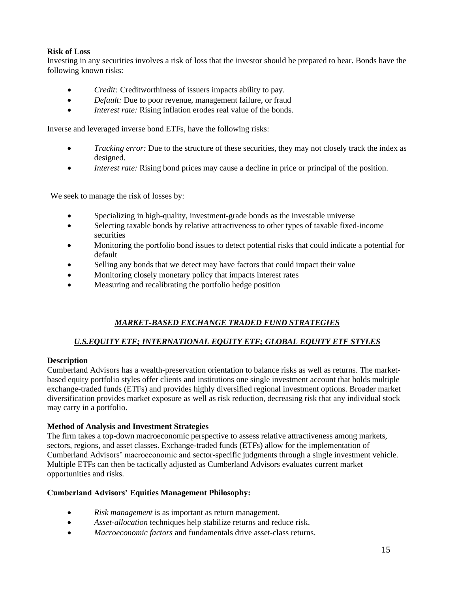### **Risk of Loss**

Investing in any securities involves a risk of loss that the investor should be prepared to bear. Bonds have the following known risks:

- *Credit:* Creditworthiness of issuers impacts ability to pay.
- *Default:* Due to poor revenue, management failure, or fraud
- *Interest rate:* Rising inflation erodes real value of the bonds.

Inverse and leveraged inverse bond ETFs, have the following risks:

- *Tracking error:* Due to the structure of these securities, they may not closely track the index as designed.
- *Interest rate:* Rising bond prices may cause a decline in price or principal of the position.

We seek to manage the risk of losses by:

- Specializing in high-quality, investment-grade bonds as the investable universe
- Selecting taxable bonds by relative attractiveness to other types of taxable fixed-income securities
- Monitoring the portfolio bond issues to detect potential risks that could indicate a potential for default
- Selling any bonds that we detect may have factors that could impact their value
- Monitoring closely monetary policy that impacts interest rates
- Measuring and recalibrating the portfolio hedge position

# *MARKET-BASED EXCHANGE TRADED FUND STRATEGIES*

# *U.S.EQUITY ETF; INTERNATIONAL EQUITY ETF; GLOBAL EQUITY ETF STYLES*

### **Description**

Cumberland Advisors has a wealth-preservation orientation to balance risks as well as returns. The marketbased equity portfolio styles offer clients and institutions one single investment account that holds multiple exchange-traded funds (ETFs) and provides highly diversified regional investment options. Broader market diversification provides market exposure as well as risk reduction, decreasing risk that any individual stock may carry in a portfolio.

### **Method of Analysis and Investment Strategies**

The firm takes a top-down macroeconomic perspective to assess relative attractiveness among markets, sectors, regions, and asset classes. Exchange-traded funds (ETFs) allow for the implementation of Cumberland Advisors' macroeconomic and sector-specific judgments through a single investment vehicle. Multiple ETFs can then be tactically adjusted as Cumberland Advisors evaluates current market opportunities and risks.

### **Cumberland Advisors' Equities Management Philosophy:**

- *Risk management* is as important as return management.
- *Asset-allocation* techniques help stabilize returns and reduce risk.
- *Macroeconomic factors* and fundamentals drive asset-class returns.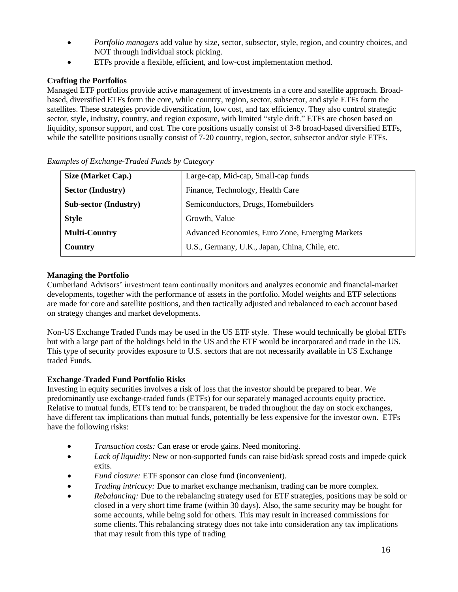- *Portfolio managers* add value by size, sector, subsector, style, region, and country choices, and NOT through individual stock picking.
- ETFs provide a flexible, efficient, and low-cost implementation method.

# **Crafting the Portfolios**

Managed ETF portfolios provide active management of investments in a core and satellite approach. Broadbased, diversified ETFs form the core, while country, region, sector, subsector, and style ETFs form the satellites. These strategies provide diversification, low cost, and tax efficiency. They also control strategic sector, style, industry, country, and region exposure, with limited "style drift." ETFs are chosen based on liquidity, sponsor support, and cost. The core positions usually consist of 3-8 broad-based diversified ETFs, while the satellite positions usually consist of 7-20 country, region, sector, subsector and/or style ETFs.

| Size (Market Cap.)           | Large-cap, Mid-cap, Small-cap funds             |  |
|------------------------------|-------------------------------------------------|--|
| <b>Sector (Industry)</b>     | Finance, Technology, Health Care                |  |
| <b>Sub-sector (Industry)</b> | Semiconductors, Drugs, Homebuilders             |  |
| <b>Style</b>                 | Growth, Value                                   |  |
| <b>Multi-Country</b>         | Advanced Economies, Euro Zone, Emerging Markets |  |
| Country                      | U.S., Germany, U.K., Japan, China, Chile, etc.  |  |
|                              |                                                 |  |

|  | Examples of Exchange-Traded Funds by Category |  |  |
|--|-----------------------------------------------|--|--|
|--|-----------------------------------------------|--|--|

# **Managing the Portfolio**

Cumberland Advisors' investment team continually monitors and analyzes economic and financial-market developments, together with the performance of assets in the portfolio. Model weights and ETF selections are made for core and satellite positions, and then tactically adjusted and rebalanced to each account based on strategy changes and market developments.

Non-US Exchange Traded Funds may be used in the US ETF style. These would technically be global ETFs but with a large part of the holdings held in the US and the ETF would be incorporated and trade in the US. This type of security provides exposure to U.S. sectors that are not necessarily available in US Exchange traded Funds.

# **Exchange-Traded Fund Portfolio Risks**

Investing in equity securities involves a risk of loss that the investor should be prepared to bear. We predominantly use exchange-traded funds (ETFs) for our separately managed accounts equity practice. Relative to mutual funds, ETFs tend to: be transparent, be traded throughout the day on stock exchanges, have different tax implications than mutual funds, potentially be less expensive for the investor own. ETFs have the following risks:

- *Transaction costs:* Can erase or erode gains. Need monitoring.
- *Lack of liquidity*: New or non-supported funds can raise bid/ask spread costs and impede quick exits.
- *Fund closure:* ETF sponsor can close fund (inconvenient).
- *Trading intricacy:* Due to market exchange mechanism, trading can be more complex.
- *Rebalancing:* Due to the rebalancing strategy used for ETF strategies, positions may be sold or closed in a very short time frame (within 30 days). Also, the same security may be bought for some accounts, while being sold for others. This may result in increased commissions for some clients. This rebalancing strategy does not take into consideration any tax implications that may result from this type of trading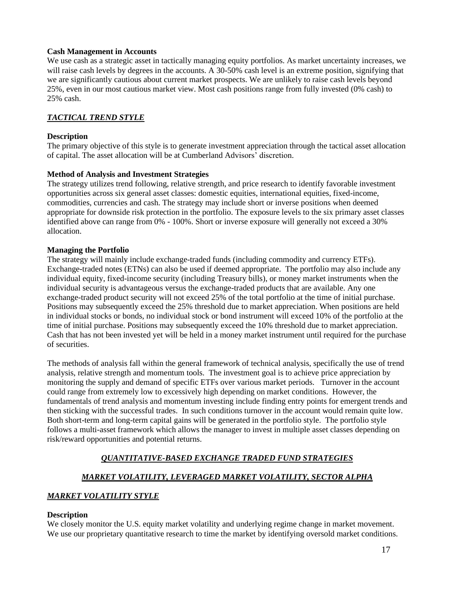### **Cash Management in Accounts**

We use cash as a strategic asset in tactically managing equity portfolios. As market uncertainty increases, we will raise cash levels by degrees in the accounts. A 30-50% cash level is an extreme position, signifying that we are significantly cautious about current market prospects. We are unlikely to raise cash levels beyond 25%, even in our most cautious market view. Most cash positions range from fully invested (0% cash) to 25% cash.

### *TACTICAL TREND STYLE*

### **Description**

The primary objective of this style is to generate investment appreciation through the tactical asset allocation of capital. The asset allocation will be at Cumberland Advisors' discretion.

### **Method of Analysis and Investment Strategies**

The strategy utilizes trend following, relative strength, and price research to identify favorable investment opportunities across six general asset classes: domestic equities, international equities, fixed-income, commodities, currencies and cash. The strategy may include short or inverse positions when deemed appropriate for downside risk protection in the portfolio. The exposure levels to the six primary asset classes identified above can range from 0% - 100%. Short or inverse exposure will generally not exceed a 30% allocation.

### **Managing the Portfolio**

The strategy will mainly include exchange-traded funds (including commodity and currency ETFs). Exchange-traded notes (ETNs) can also be used if deemed appropriate. The portfolio may also include any individual equity, fixed-income security (including Treasury bills), or money market instruments when the individual security is advantageous versus the exchange-traded products that are available. Any one exchange-traded product security will not exceed 25% of the total portfolio at the time of initial purchase. Positions may subsequently exceed the 25% threshold due to market appreciation. When positions are held in individual stocks or bonds, no individual stock or bond instrument will exceed 10% of the portfolio at the time of initial purchase. Positions may subsequently exceed the 10% threshold due to market appreciation. Cash that has not been invested yet will be held in a money market instrument until required for the purchase of securities.

The methods of analysis fall within the general framework of technical analysis, specifically the use of trend analysis, relative strength and momentum tools. The investment goal is to achieve price appreciation by monitoring the supply and demand of specific ETFs over various market periods. Turnover in the account could range from extremely low to excessively high depending on market conditions. However, the fundamentals of trend analysis and momentum investing include finding entry points for emergent trends and then sticking with the successful trades. In such conditions turnover in the account would remain quite low. Both short-term and long-term capital gains will be generated in the portfolio style. The portfolio style follows a multi-asset framework which allows the manager to invest in multiple asset classes depending on risk/reward opportunities and potential returns.

# *QUANTITATIVE-BASED EXCHANGE TRADED FUND STRATEGIES*

# *MARKET VOLATILITY, LEVERAGED MARKET VOLATILITY, SECTOR ALPHA*

# *MARKET VOLATILITY STYLE*

### **Description**

We closely monitor the U.S. equity market volatility and underlying regime change in market movement. We use our proprietary quantitative research to time the market by identifying oversold market conditions.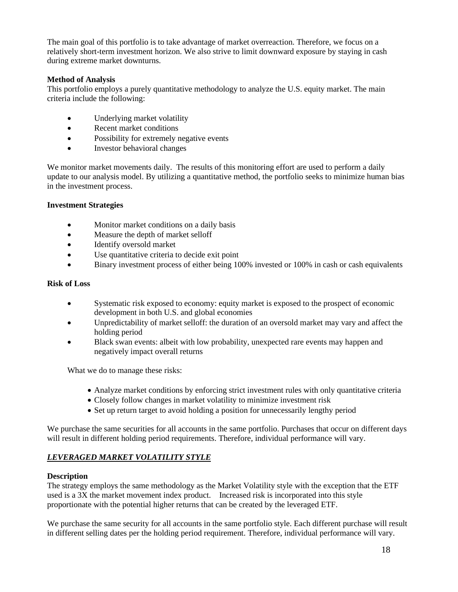The main goal of this portfolio is to take advantage of market overreaction. Therefore, we focus on a relatively short-term investment horizon. We also strive to limit downward exposure by staying in cash during extreme market downturns.

### **Method of Analysis**

This portfolio employs a purely quantitative methodology to analyze the U.S. equity market. The main criteria include the following:

- Underlying market volatility
- Recent market conditions
- Possibility for extremely negative events
- Investor behavioral changes

We monitor market movements daily. The results of this monitoring effort are used to perform a daily update to our analysis model. By utilizing a quantitative method, the portfolio seeks to minimize human bias in the investment process.

### **Investment Strategies**

- Monitor market conditions on a daily basis
- Measure the depth of market selloff
- Identify oversold market
- Use quantitative criteria to decide exit point
- Binary investment process of either being 100% invested or 100% in cash or cash equivalents

### **Risk of Loss**

- Systematic risk exposed to economy: equity market is exposed to the prospect of economic development in both U.S. and global economies
- Unpredictability of market selloff: the duration of an oversold market may vary and affect the holding period
- Black swan events: albeit with low probability, unexpected rare events may happen and negatively impact overall returns

What we do to manage these risks:

- Analyze market conditions by enforcing strict investment rules with only quantitative criteria
- Closely follow changes in market volatility to minimize investment risk
- Set up return target to avoid holding a position for unnecessarily lengthy period

We purchase the same securities for all accounts in the same portfolio. Purchases that occur on different days will result in different holding period requirements. Therefore, individual performance will vary.

# *LEVERAGED MARKET VOLATILITY STYLE*

### **Description**

The strategy employs the same methodology as the Market Volatility style with the exception that the ETF used is a 3X the market movement index product. Increased risk is incorporated into this style proportionate with the potential higher returns that can be created by the leveraged ETF.

We purchase the same security for all accounts in the same portfolio style. Each different purchase will result in different selling dates per the holding period requirement. Therefore, individual performance will vary.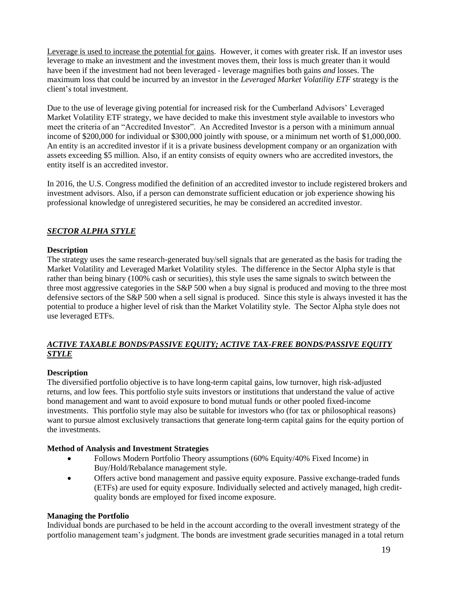Leverage is used to increase the potential for gains. However, it comes with greater risk. If an investor uses leverage to make an investment and the investment moves them, their loss is much greater than it would have been if the investment had not been leveraged - leverage magnifies both gains *and* losses. The maximum loss that could be incurred by an investor in the *Leveraged Market Volatility ETF* strategy is the client's total investment.

Due to the use of leverage giving potential for increased risk for the Cumberland Advisors' Leveraged Market Volatility ETF strategy, we have decided to make this investment style available to investors who meet the criteria of an "Accredited Investor". An Accredited Investor is a person with a minimum annual income of \$200,000 for individual or \$300,000 jointly with spouse, or a minimum net worth of \$1,000,000. An entity is an accredited investor if it is a private business development company or an organization with assets exceeding \$5 million. Also, if an entity consists of equity owners who are accredited investors, the entity itself is an accredited investor.

In 2016, the U.S. Congress modified the definition of an accredited investor to include registered brokers and investment advisors. Also, if a person can demonstrate sufficient education or job experience showing his professional knowledge of unregistered securities, he may be considered an accredited investor.

# *SECTOR ALPHA STYLE*

### **Description**

The strategy uses the same research-generated buy/sell signals that are generated as the basis for trading the Market Volatility and Leveraged Market Volatility styles. The difference in the Sector Alpha style is that rather than being binary (100% cash or securities), this style uses the same signals to switch between the three most aggressive categories in the S&P 500 when a buy signal is produced and moving to the three most defensive sectors of the S&P 500 when a sell signal is produced. Since this style is always invested it has the potential to produce a higher level of risk than the Market Volatility style. The Sector Alpha style does not use leveraged ETFs.

# *ACTIVE TAXABLE BONDS/PASSIVE EQUITY; ACTIVE TAX-FREE BONDS/PASSIVE EQUITY STYLE*

### **Description**

The diversified portfolio objective is to have long-term capital gains, low turnover, high risk-adjusted returns, and low fees. This portfolio style suits investors or institutions that understand the value of active bond management and want to avoid exposure to bond mutual funds or other pooled fixed-income investments. This portfolio style may also be suitable for investors who (for tax or philosophical reasons) want to pursue almost exclusively transactions that generate long-term capital gains for the equity portion of the investments.

# **Method of Analysis and Investment Strategies**

- Follows Modern Portfolio Theory assumptions (60% Equity/40% Fixed Income) in Buy/Hold/Rebalance management style.
- Offers active bond management and passive equity exposure. Passive exchange-traded funds (ETFs) are used for equity exposure. Individually selected and actively managed, high creditquality bonds are employed for fixed income exposure.

### **Managing the Portfolio**

Individual bonds are purchased to be held in the account according to the overall investment strategy of the portfolio management team's judgment. The bonds are investment grade securities managed in a total return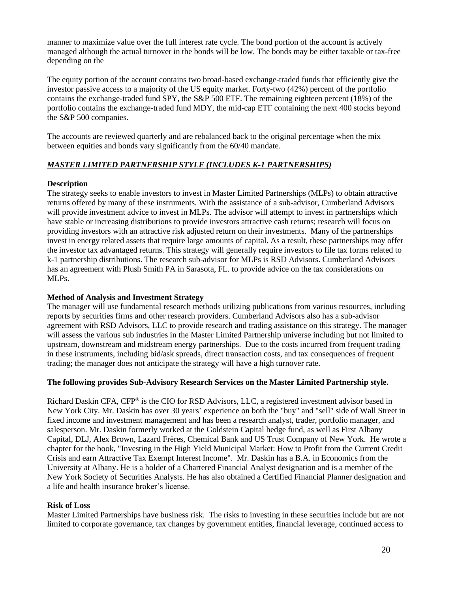manner to maximize value over the full interest rate cycle. The bond portion of the account is actively managed although the actual turnover in the bonds will be low. The bonds may be either taxable or tax-free depending on the

The equity portion of the account contains two broad-based exchange-traded funds that efficiently give the investor passive access to a majority of the US equity market. Forty-two (42%) percent of the portfolio contains the exchange-traded fund SPY, the S&P 500 ETF. The remaining eighteen percent (18%) of the portfolio contains the exchange-traded fund MDY, the mid-cap ETF containing the next 400 stocks beyond the S&P 500 companies.

The accounts are reviewed quarterly and are rebalanced back to the original percentage when the mix between equities and bonds vary significantly from the 60/40 mandate.

### *MASTER LIMITED PARTNERSHIP STYLE (INCLUDES K-1 PARTNERSHIPS)*

### **Description**

The strategy seeks to enable investors to invest in Master Limited Partnerships (MLPs) to obtain attractive returns offered by many of these instruments. With the assistance of a sub-advisor, Cumberland Advisors will provide investment advice to invest in MLPs. The advisor will attempt to invest in partnerships which have stable or increasing distributions to provide investors attractive cash returns; research will focus on providing investors with an attractive risk adjusted return on their investments. Many of the partnerships invest in energy related assets that require large amounts of capital. As a result, these partnerships may offer the investor tax advantaged returns. This strategy will generally require investors to file tax forms related to k-1 partnership distributions. The research sub-advisor for MLPs is RSD Advisors. Cumberland Advisors has an agreement with Plush Smith PA in Sarasota, FL. to provide advice on the tax considerations on MLPs.

### **Method of Analysis and Investment Strategy**

The manager will use fundamental research methods utilizing publications from various resources, including reports by securities firms and other research providers. Cumberland Advisors also has a sub-advisor agreement with RSD Advisors, LLC to provide research and trading assistance on this strategy. The manager will assess the various sub industries in the Master Limited Partnership universe including but not limited to upstream, downstream and midstream energy partnerships. Due to the costs incurred from frequent trading in these instruments, including bid/ask spreads, direct transaction costs, and tax consequences of frequent trading; the manager does not anticipate the strategy will have a high turnover rate.

### **The following provides Sub-Advisory Research Services on the Master Limited Partnership style.**

Richard Daskin CFA, CFP® is the CIO for RSD Advisors, LLC, a registered investment advisor based in New York City. Mr. Daskin has over 30 years' experience on both the "buy" and "sell" side of Wall Street in fixed income and investment management and has been a research analyst, trader, portfolio manager, and salesperson. Mr. Daskin formerly worked at the Goldstein Capital hedge fund, as well as First Albany Capital, DLJ, Alex Brown, Lazard Frères, Chemical Bank and US Trust Company of New York. He wrote a chapter for the book, "Investing in the High Yield Municipal Market: How to Profit from the Current Credit Crisis and earn Attractive Tax Exempt Interest Income". Mr. Daskin has a B.A. in Economics from the University at Albany. He is a holder of a Chartered Financial Analyst designation and is a member of the New York Society of Securities Analysts. He has also obtained a Certified Financial Planner designation and a life and health insurance broker's license.

### **Risk of Loss**

Master Limited Partnerships have business risk. The risks to investing in these securities include but are not limited to corporate governance, tax changes by government entities, financial leverage, continued access to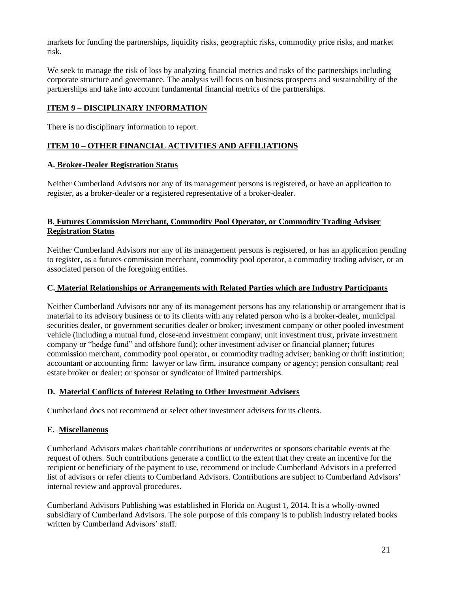markets for funding the partnerships, liquidity risks, geographic risks, commodity price risks, and market risk.

We seek to manage the risk of loss by analyzing financial metrics and risks of the partnerships including corporate structure and governance. The analysis will focus on business prospects and sustainability of the partnerships and take into account fundamental financial metrics of the partnerships.

### **ITEM 9 – DISCIPLINARY INFORMATION**

There is no disciplinary information to report.

# **ITEM 10 – OTHER FINANCIAL ACTIVITIES AND AFFILIATIONS**

### **A. Broker-Dealer Registration Status**

Neither Cumberland Advisors nor any of its management persons is registered, or have an application to register, as a broker-dealer or a registered representative of a broker-dealer.

### **B. Futures Commission Merchant, Commodity Pool Operator, or Commodity Trading Adviser Registration Status**

Neither Cumberland Advisors nor any of its management persons is registered, or has an application pending to register, as a futures commission merchant, commodity pool operator, a commodity trading adviser, or an associated person of the foregoing entities.

### **C. Material Relationships or Arrangements with Related Parties which are Industry Participants**

Neither Cumberland Advisors nor any of its management persons has any relationship or arrangement that is material to its advisory business or to its clients with any related person who is a broker-dealer, municipal securities dealer, or government securities dealer or broker; investment company or other pooled investment vehicle (including a mutual fund, close-end investment company, unit investment trust, private investment company or "hedge fund" and offshore fund); other investment adviser or financial planner; futures commission merchant, commodity pool operator, or commodity trading adviser; banking or thrift institution; accountant or accounting firm; lawyer or law firm, insurance company or agency; pension consultant; real estate broker or dealer; or sponsor or syndicator of limited partnerships.

# **D. Material Conflicts of Interest Relating to Other Investment Advisers**

Cumberland does not recommend or select other investment advisers for its clients.

# **E. Miscellaneous**

Cumberland Advisors makes charitable contributions or underwrites or sponsors charitable events at the request of others. Such contributions generate a conflict to the extent that they create an incentive for the recipient or beneficiary of the payment to use, recommend or include Cumberland Advisors in a preferred list of advisors or refer clients to Cumberland Advisors. Contributions are subject to Cumberland Advisors' internal review and approval procedures.

Cumberland Advisors Publishing was established in Florida on August 1, 2014. It is a wholly-owned subsidiary of Cumberland Advisors. The sole purpose of this company is to publish industry related books written by Cumberland Advisors' staff.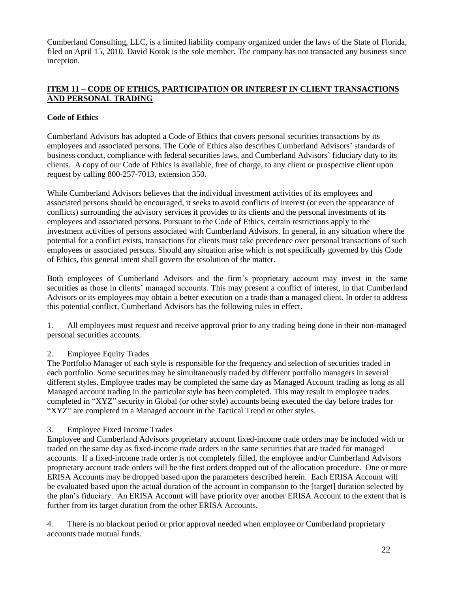Cumberland Consulting, LLC, is a limited liability company organized under the laws of the State of Florida, filed on April 15, 2010. David Kotok is the sole member. The company has not transacted any business since inception.

# **ITEM 11 – CODE OF ETHICS, PARTICIPATION OR INTEREST IN CLIENT TRANSACTIONS AND PERSONAL TRADING**

# **Code of Ethics**

Cumberland Advisors has adopted a Code of Ethics that covers personal securities transactions by its employees and associated persons. The Code of Ethics also describes Cumberland Advisors' standards of business conduct, compliance with federal securities laws, and Cumberland Advisors' fiduciary duty to its clients. A copy of our Code of Ethics is available, free of charge, to any client or prospective client upon request by calling 800-257-7013, extension 350.

While Cumberland Advisors believes that the individual investment activities of its employees and associated persons should be encouraged, it seeks to avoid conflicts of interest (or even the appearance of conflicts) surrounding the advisory services it provides to its clients and the personal investments of its employees and associated persons. Pursuant to the Code of Ethics, certain restrictions apply to the investment activities of persons associated with Cumberland Advisors. In general, in any situation where the potential for a conflict exists, transactions for clients must take precedence over personal transactions of such employees or associated persons. Should any situation arise which is not specifically governed by this Code of Ethics, this general intent shall govern the resolution of the matter.

Both employees of Cumberland Advisors and the firm's proprietary account may invest in the same securities as those in clients' managed accounts. This may present a conflict of interest, in that Cumberland Advisors or its employees may obtain a better execution on a trade than a managed client. In order to address this potential conflict, Cumberland Advisors has the following rules in effect.

1. All employees must request and receive approval prior to any trading being done in their non-managed personal securities accounts.

# 2. Employee Equity Trades

The Portfolio Manager of each style is responsible for the frequency and selection of securities traded in each portfolio. Some securities may be simultaneously traded by different portfolio managers in several different styles. Employee trades may be completed the same day as Managed Account trading as long as all Managed account trading in the particular style has been completed. This may result in employee trades completed in "XYZ" security in Global (or other style) accounts being executed the day before trades for "XYZ" are completed in a Managed account in the Tactical Trend or other styles.

### 3. Employee Fixed Income Trades

Employee and Cumberland Advisors proprietary account fixed-income trade orders may be included with or traded on the same day as fixed-income trade orders in the same securities that are traded for managed accounts. If a fixed-income trade order is not completely filled, the employee and/or Cumberland Advisors proprietary account trade orders will be the first orders dropped out of the allocation procedure. One or more ERISA Accounts may be dropped based upon the parameters described herein. Each ERISA Account will be evaluated based upon the actual duration of the account in comparison to the [target] duration selected by the plan's fiduciary. An ERISA Account will have priority over another ERISA Account to the extent that is further from its target duration from the other ERISA Accounts.

4. There is no blackout period or prior approval needed when employee or Cumberland proprietary accounts trade mutual funds.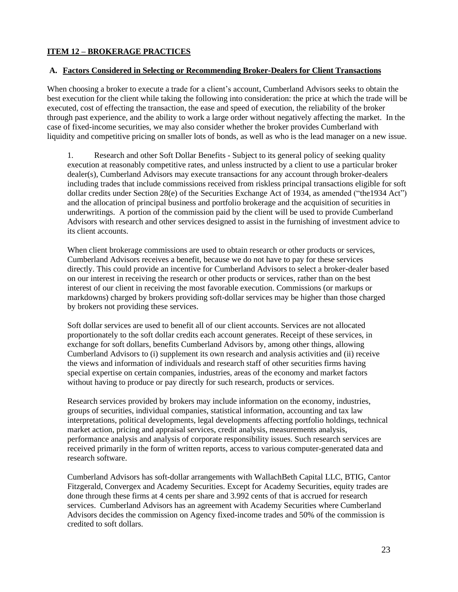# **ITEM 12 – BROKERAGE PRACTICES**

### **A. Factors Considered in Selecting or Recommending Broker-Dealers for Client Transactions**

When choosing a broker to execute a trade for a client's account, Cumberland Advisors seeks to obtain the best execution for the client while taking the following into consideration: the price at which the trade will be executed, cost of effecting the transaction, the ease and speed of execution, the reliability of the broker through past experience, and the ability to work a large order without negatively affecting the market. In the case of fixed-income securities, we may also consider whether the broker provides Cumberland with liquidity and competitive pricing on smaller lots of bonds, as well as who is the lead manager on a new issue.

1. Research and other Soft Dollar Benefits - Subject to its general policy of seeking quality execution at reasonably competitive rates, and unless instructed by a client to use a particular broker dealer(s), Cumberland Advisors may execute transactions for any account through broker-dealers including trades that include commissions received from riskless principal transactions eligible for soft dollar credits under Section 28(e) of the Securities Exchange Act of 1934, as amended ("the1934 Act") and the allocation of principal business and portfolio brokerage and the acquisition of securities in underwritings. A portion of the commission paid by the client will be used to provide Cumberland Advisors with research and other services designed to assist in the furnishing of investment advice to its client accounts.

When client brokerage commissions are used to obtain research or other products or services, Cumberland Advisors receives a benefit, because we do not have to pay for these services directly. This could provide an incentive for Cumberland Advisors to select a broker-dealer based on our interest in receiving the research or other products or services, rather than on the best interest of our client in receiving the most favorable execution. Commissions (or markups or markdowns) charged by brokers providing soft-dollar services may be higher than those charged by brokers not providing these services.

Soft dollar services are used to benefit all of our client accounts. Services are not allocated proportionately to the soft dollar credits each account generates. Receipt of these services, in exchange for soft dollars, benefits Cumberland Advisors by, among other things, allowing Cumberland Advisors to (i) supplement its own research and analysis activities and (ii) receive the views and information of individuals and research staff of other securities firms having special expertise on certain companies, industries, areas of the economy and market factors without having to produce or pay directly for such research, products or services.

Research services provided by brokers may include information on the economy, industries, groups of securities, individual companies, statistical information, accounting and tax law interpretations, political developments, legal developments affecting portfolio holdings, technical market action, pricing and appraisal services, credit analysis, measurements analysis, performance analysis and analysis of corporate responsibility issues. Such research services are received primarily in the form of written reports, access to various computer-generated data and research software.

Cumberland Advisors has soft-dollar arrangements with WallachBeth Capital LLC, BTIG, Cantor Fitzgerald, Convergex and Academy Securities. Except for Academy Securities, equity trades are done through these firms at 4 cents per share and 3.992 cents of that is accrued for research services. Cumberland Advisors has an agreement with Academy Securities where Cumberland Advisors decides the commission on Agency fixed-income trades and 50% of the commission is credited to soft dollars.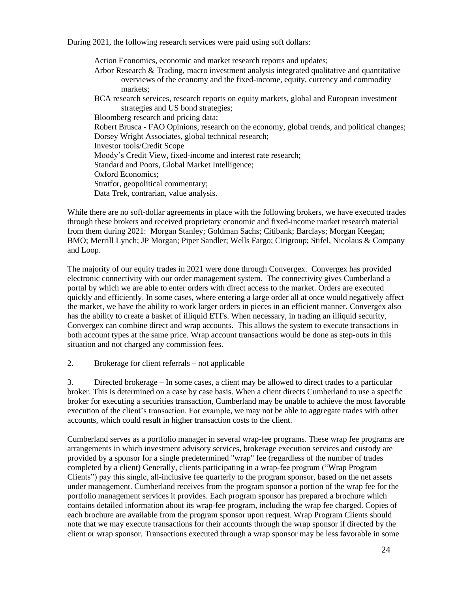During 2021, the following research services were paid using soft dollars:

Action Economics, economic and market research reports and updates;

Arbor Research & Trading, macro investment analysis integrated qualitative and quantitative overviews of the economy and the fixed-income, equity, currency and commodity markets;

BCA research services, research reports on equity markets, global and European investment strategies and US bond strategies;

Bloomberg research and pricing data; Robert Brusca - FAO Opinions, research on the economy, global trends, and political changes; Dorsey Wright Associates, global technical research; Investor tools/Credit Scope Moody's Credit View, fixed-income and interest rate research; Standard and Poors, Global Market Intelligence; Oxford Economics; Stratfor, geopolitical commentary; Data Trek, contrarian, value analysis.

While there are no soft-dollar agreements in place with the following brokers, we have executed trades through these brokers and received proprietary economic and fixed-income market research material from them during 2021: Morgan Stanley; Goldman Sachs; Citibank; Barclays; Morgan Keegan; BMO; Merrill Lynch; JP Morgan; Piper Sandler; Wells Fargo; Citigroup; Stifel, Nicolaus & Company and Loop.

The majority of our equity trades in 2021 were done through Convergex. Convergex has provided electronic connectivity with our order management system. The connectivity gives Cumberland a portal by which we are able to enter orders with direct access to the market. Orders are executed quickly and efficiently. In some cases, where entering a large order all at once would negatively affect the market, we have the ability to work larger orders in pieces in an efficient manner. Convergex also has the ability to create a basket of illiquid ETFs. When necessary, in trading an illiquid security, Convergex can combine direct and wrap accounts. This allows the system to execute transactions in both account types at the same price. Wrap account transactions would be done as step-outs in this situation and not charged any commission fees.

2. Brokerage for client referrals – not applicable

3. Directed brokerage – In some cases, a client may be allowed to direct trades to a particular broker. This is determined on a case by case basis. When a client directs Cumberland to use a specific broker for executing a securities transaction, Cumberland may be unable to achieve the most favorable execution of the client's transaction. For example, we may not be able to aggregate trades with other accounts, which could result in higher transaction costs to the client.

Cumberland serves as a portfolio manager in several wrap-fee programs. These wrap fee programs are arrangements in which investment advisory services, brokerage execution services and custody are provided by a sponsor for a single predetermined "wrap" fee (regardless of the number of trades completed by a client) Generally, clients participating in a wrap-fee program ("Wrap Program Clients") pay this single, all-inclusive fee quarterly to the program sponsor, based on the net assets under management. Cumberland receives from the program sponsor a portion of the wrap fee for the portfolio management services it provides. Each program sponsor has prepared a brochure which contains detailed information about its wrap-fee program, including the wrap fee charged. Copies of each brochure are available from the program sponsor upon request. Wrap Program Clients should note that we may execute transactions for their accounts through the wrap sponsor if directed by the client or wrap sponsor. Transactions executed through a wrap sponsor may be less favorable in some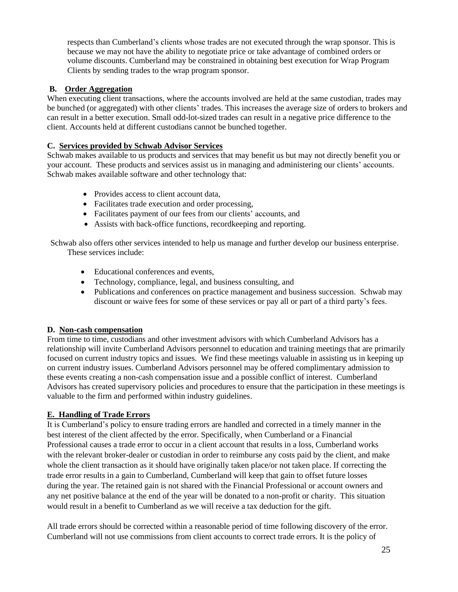respects than Cumberland's clients whose trades are not executed through the wrap sponsor. This is because we may not have the ability to negotiate price or take advantage of combined orders or volume discounts. Cumberland may be constrained in obtaining best execution for Wrap Program Clients by sending trades to the wrap program sponsor.

# **B. Order Aggregation**

When executing client transactions, where the accounts involved are held at the same custodian, trades may be bunched (or aggregated) with other clients' trades. This increases the average size of orders to brokers and can result in a better execution. Small odd-lot-sized trades can result in a negative price difference to the client. Accounts held at different custodians cannot be bunched together.

### **C. Services provided by Schwab Advisor Services**

Schwab makes available to us products and services that may benefit us but may not directly benefit you or your account. These products and services assist us in managing and administering our clients' accounts. Schwab makes available software and other technology that:

- Provides access to client account data,
- Facilitates trade execution and order processing,
- Facilitates payment of our fees from our clients' accounts, and
- Assists with back-office functions, recordkeeping and reporting.

Schwab also offers other services intended to help us manage and further develop our business enterprise. These services include:

- Educational conferences and events,
- Technology, compliance, legal, and business consulting, and
- Publications and conferences on practice management and business succession. Schwab may discount or waive fees for some of these services or pay all or part of a third party's fees.

### **D. Non-cash compensation**

From time to time, custodians and other investment advisors with which Cumberland Advisors has a relationship will invite Cumberland Advisors personnel to education and training meetings that are primarily focused on current industry topics and issues. We find these meetings valuable in assisting us in keeping up on current industry issues. Cumberland Advisors personnel may be offered complimentary admission to these events creating a non-cash compensation issue and a possible conflict of interest. Cumberland Advisors has created supervisory policies and procedures to ensure that the participation in these meetings is valuable to the firm and performed within industry guidelines.

### **E. Handling of Trade Errors**

It is Cumberland's policy to ensure trading errors are handled and corrected in a timely manner in the best interest of the client affected by the error. Specifically, when Cumberland or a Financial Professional causes a trade error to occur in a client account that results in a loss, Cumberland works with the relevant broker-dealer or custodian in order to reimburse any costs paid by the client, and make whole the client transaction as it should have originally taken place/or not taken place. If correcting the trade error results in a gain to Cumberland, Cumberland will keep that gain to offset future losses during the year. The retained gain is not shared with the Financial Professional or account owners and any net positive balance at the end of the year will be donated to a non-profit or charity. This situation would result in a benefit to Cumberland as we will receive a tax deduction for the gift.

All trade errors should be corrected within a reasonable period of time following discovery of the error. Cumberland will not use commissions from client accounts to correct trade errors. It is the policy of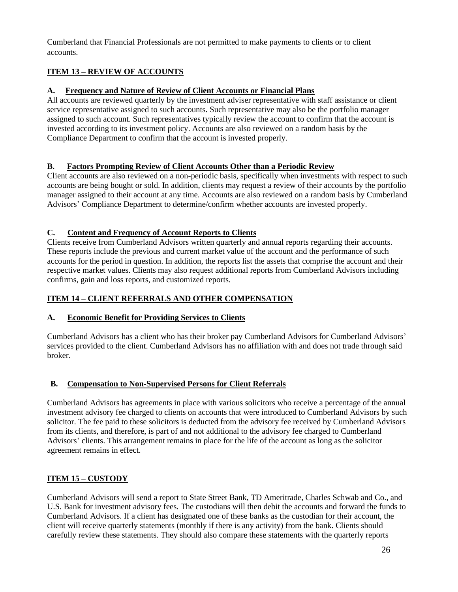Cumberland that Financial Professionals are not permitted to make payments to clients or to client accounts.

# **ITEM 13 – REVIEW OF ACCOUNTS**

### **A. Frequency and Nature of Review of Client Accounts or Financial Plans**

All accounts are reviewed quarterly by the investment adviser representative with staff assistance or client service representative assigned to such accounts. Such representative may also be the portfolio manager assigned to such account. Such representatives typically review the account to confirm that the account is invested according to its investment policy. Accounts are also reviewed on a random basis by the Compliance Department to confirm that the account is invested properly.

### **B. Factors Prompting Review of Client Accounts Other than a Periodic Review**

Client accounts are also reviewed on a non-periodic basis, specifically when investments with respect to such accounts are being bought or sold. In addition, clients may request a review of their accounts by the portfolio manager assigned to their account at any time. Accounts are also reviewed on a random basis by Cumberland Advisors' Compliance Department to determine/confirm whether accounts are invested properly.

# **C. Content and Frequency of Account Reports to Clients**

Clients receive from Cumberland Advisors written quarterly and annual reports regarding their accounts. These reports include the previous and current market value of the account and the performance of such accounts for the period in question. In addition, the reports list the assets that comprise the account and their respective market values. Clients may also request additional reports from Cumberland Advisors including confirms, gain and loss reports, and customized reports.

# **ITEM 14 – CLIENT REFERRALS AND OTHER COMPENSATION**

# **A. Economic Benefit for Providing Services to Clients**

Cumberland Advisors has a client who has their broker pay Cumberland Advisors for Cumberland Advisors' services provided to the client. Cumberland Advisors has no affiliation with and does not trade through said broker.

# **B. Compensation to Non-Supervised Persons for Client Referrals**

Cumberland Advisors has agreements in place with various solicitors who receive a percentage of the annual investment advisory fee charged to clients on accounts that were introduced to Cumberland Advisors by such solicitor. The fee paid to these solicitors is deducted from the advisory fee received by Cumberland Advisors from its clients, and therefore, is part of and not additional to the advisory fee charged to Cumberland Advisors' clients. This arrangement remains in place for the life of the account as long as the solicitor agreement remains in effect.

# **ITEM 15 – CUSTODY**

Cumberland Advisors will send a report to State Street Bank, TD Ameritrade, Charles Schwab and Co., and U.S. Bank for investment advisory fees. The custodians will then debit the accounts and forward the funds to Cumberland Advisors. If a client has designated one of these banks as the custodian for their account, the client will receive quarterly statements (monthly if there is any activity) from the bank. Clients should carefully review these statements. They should also compare these statements with the quarterly reports